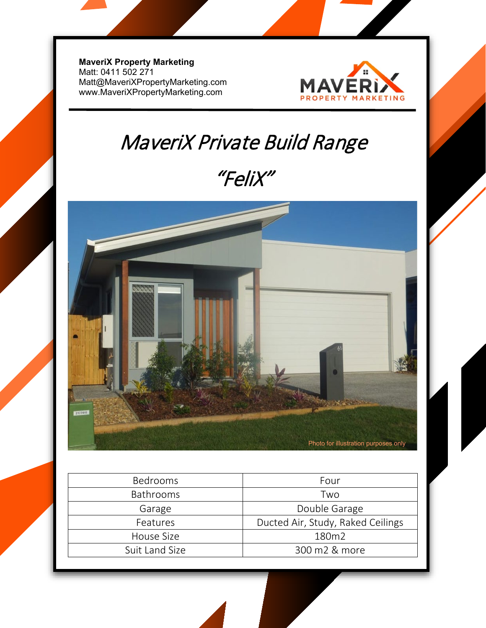**MaveriX Property Marketing** Matt: 0411 502 271 [Matt@MaveriXPropertyMarketing.com](mailto:Matt@MaveriXPropertyMarketing.com) www.MaveriXPropertyMarketing.com



## MaveriX Private Build Range

### "FeliX"



| <b>Bedrooms</b>  | Four                              |
|------------------|-----------------------------------|
| <b>Bathrooms</b> | Two                               |
| Garage           | Double Garage                     |
| <b>Features</b>  | Ducted Air, Study, Raked Ceilings |
| House Size       | 180m2                             |
| Suit Land Size   | 300 m2 & more                     |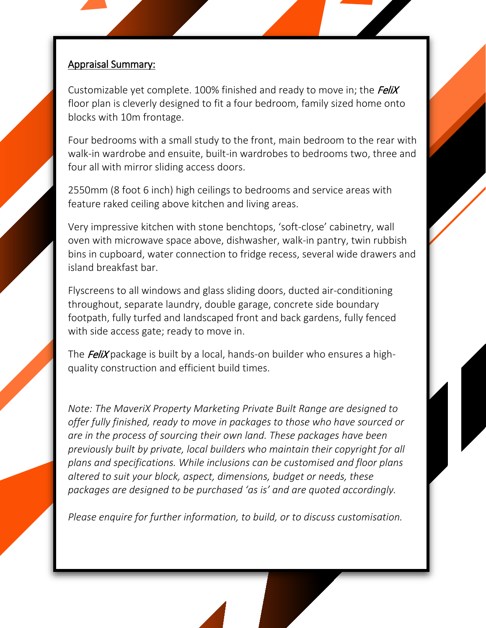#### Appraisal Summary:

l

Customizable yet complete. 100% finished and ready to move in; the FeliX floor plan is cleverly designed to fit a four bedroom, family sized home onto blocks with 10m frontage.

Four bedrooms with a small study to the front, main bedroom to the rear with walk-in wardrobe and ensuite, built-in wardrobes to bedrooms two, three and four all with mirror sliding access doors.

2550mm (8 foot 6 inch) high ceilings to bedrooms and service areas with feature raked ceiling above kitchen and living areas.

Very impressive kitchen with stone benchtops, 'soft-close' cabinetry, wall oven with microwave space above, dishwasher, walk-in pantry, twin rubbish bins in cupboard, water connection to fridge recess, several wide drawers and island breakfast bar.

Flyscreens to all windows and glass sliding doors, ducted air-conditioning throughout, separate laundry, double garage, concrete side boundary footpath, fully turfed and landscaped front and back gardens, fully fenced with side access gate; ready to move in.

The *FeliX* package is built by a local, hands-on builder who ensures a highquality construction and efficient build times.

*Note: The MaveriX Property Marketing Private Built Range are designed to offer fully finished, ready to move in packages to those who have sourced or are in the process of sourcing their own land. These packages have been previously built by private, local builders who maintain their copyright for all plans and specifications. While inclusions can be customised and floor plans altered to suit your block, aspect, dimensions, budget or needs, these packages are designed to be purchased 'as is' and are quoted accordingly.* 

*Please enquire for further information, to build, or to discuss customisation.*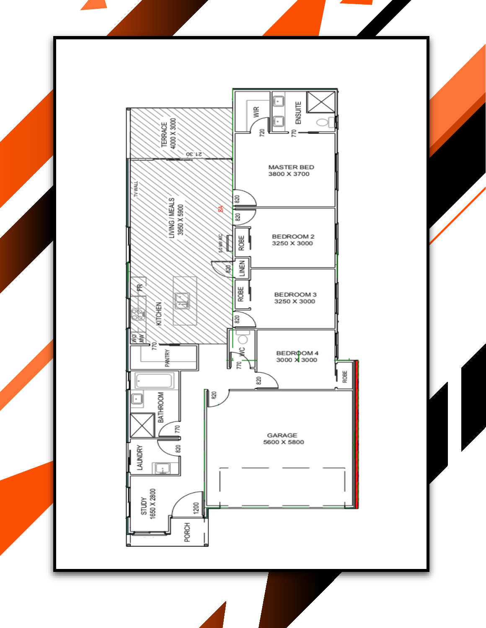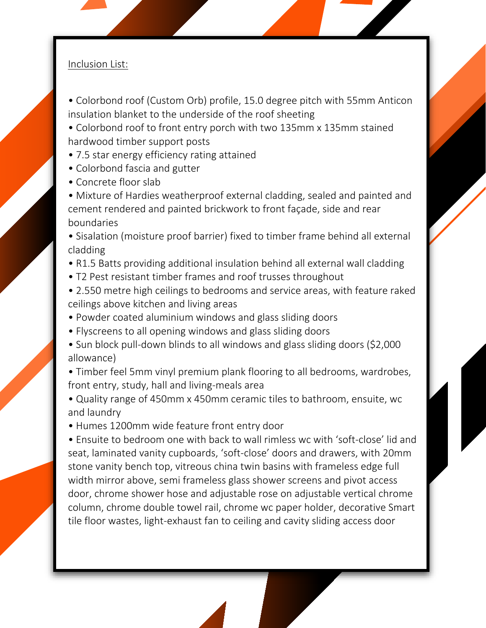#### Inclusion List:

- Colorbond roof (Custom Orb) profile, 15.0 degree pitch with 55mm Anticon insulation blanket to the underside of the roof sheeting
- Colorbond roof to front entry porch with two 135mm x 135mm stained hardwood timber support posts
- 7.5 star energy efficiency rating attained
- Colorbond fascia and gutter
- Concrete floor slab
- Mixture of Hardies weatherproof external cladding, sealed and painted and cement rendered and painted brickwork to front façade, side and rear boundaries
- Sisalation (moisture proof barrier) fixed to timber frame behind all external cladding
- R1.5 Batts providing additional insulation behind all external wall cladding
- T2 Pest resistant timber frames and roof trusses throughout
- 2.550 metre high ceilings to bedrooms and service areas, with feature raked ceilings above kitchen and living areas
- Powder coated aluminium windows and glass sliding doors
- Flyscreens to all opening windows and glass sliding doors
- Sun block pull-down blinds to all windows and glass sliding doors (\$2,000 allowance)
- Timber feel 5mm vinyl premium plank flooring to all bedrooms, wardrobes, front entry, study, hall and living-meals area
- Quality range of 450mm x 450mm ceramic tiles to bathroom, ensuite, wc and laundry
- Humes 1200mm wide feature front entry door

• Ensuite to bedroom one with back to wall rimless wc with 'soft-close' lid and seat, laminated vanity cupboards, 'soft-close' doors and drawers, with 20mm stone vanity bench top, vitreous china twin basins with frameless edge full width mirror above, semi frameless glass shower screens and pivot access door, chrome shower hose and adjustable rose on adjustable vertical chrome column, chrome double towel rail, chrome wc paper holder, decorative Smart tile floor wastes, light-exhaust fan to ceiling and cavity sliding access door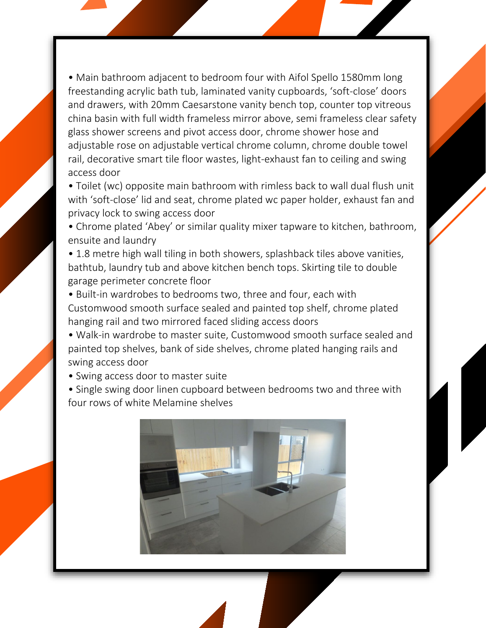• Main bathroom adjacent to bedroom four with Aifol Spello 1580mm long freestanding acrylic bath tub, laminated vanity cupboards, 'soft-close' doors and drawers, with 20mm Caesarstone vanity bench top, counter top vitreous china basin with full width frameless mirror above, semi frameless clear safety glass shower screens and pivot access door, chrome shower hose and adjustable rose on adjustable vertical chrome column, chrome double towel rail, decorative smart tile floor wastes, light-exhaust fan to ceiling and swing access door

• Toilet (wc) opposite main bathroom with rimless back to wall dual flush unit with 'soft-close' lid and seat, chrome plated wc paper holder, exhaust fan and privacy lock to swing access door

• Chrome plated 'Abey' or similar quality mixer tapware to kitchen, bathroom, ensuite and laundry

• 1.8 metre high wall tiling in both showers, splashback tiles above vanities, bathtub, laundry tub and above kitchen bench tops. Skirting tile to double garage perimeter concrete floor

• Built-in wardrobes to bedrooms two, three and four, each with Customwood smooth surface sealed and painted top shelf, chrome plated hanging rail and two mirrored faced sliding access doors

• Walk-in wardrobe to master suite, Customwood smooth surface sealed and painted top shelves, bank of side shelves, chrome plated hanging rails and swing access door

• Swing access door to master suite

• Single swing door linen cupboard between bedrooms two and three with four rows of white Melamine shelves

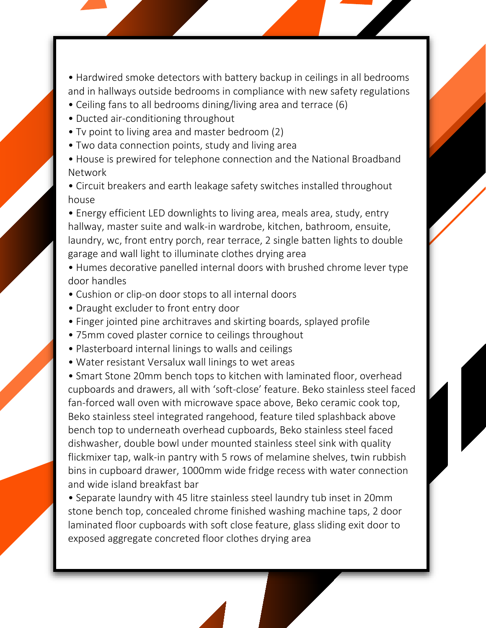- Hardwired smoke detectors with battery backup in ceilings in all bedrooms and in hallways outside bedrooms in compliance with new safety regulations
- Ceiling fans to all bedrooms dining/living area and terrace (6)
- Ducted air-conditioning throughout
- Tv point to living area and master bedroom (2)
- Two data connection points, study and living area
- House is prewired for telephone connection and the National Broadband Network
- Circuit breakers and earth leakage safety switches installed throughout house

• Energy efficient LED downlights to living area, meals area, study, entry hallway, master suite and walk-in wardrobe, kitchen, bathroom, ensuite, laundry, wc, front entry porch, rear terrace, 2 single batten lights to double garage and wall light to illuminate clothes drying area

- Humes decorative panelled internal doors with brushed chrome lever type door handles
- Cushion or clip-on door stops to all internal doors
- Draught excluder to front entry door
- Finger jointed pine architraves and skirting boards, splayed profile
- 75mm coved plaster cornice to ceilings throughout
- Plasterboard internal linings to walls and ceilings
- Water resistant Versalux wall linings to wet areas

• Smart Stone 20mm bench tops to kitchen with laminated floor, overhead cupboards and drawers, all with 'soft-close' feature. Beko stainless steel faced fan-forced wall oven with microwave space above, Beko ceramic cook top, Beko stainless steel integrated rangehood, feature tiled splashback above bench top to underneath overhead cupboards, Beko stainless steel faced dishwasher, double bowl under mounted stainless steel sink with quality flickmixer tap, walk-in pantry with 5 rows of melamine shelves, twin rubbish bins in cupboard drawer, 1000mm wide fridge recess with water connection and wide island breakfast bar

• Separate laundry with 45 litre stainless steel laundry tub inset in 20mm stone bench top, concealed chrome finished washing machine taps, 2 door laminated floor cupboards with soft close feature, glass sliding exit door to exposed aggregate concreted floor clothes drying area